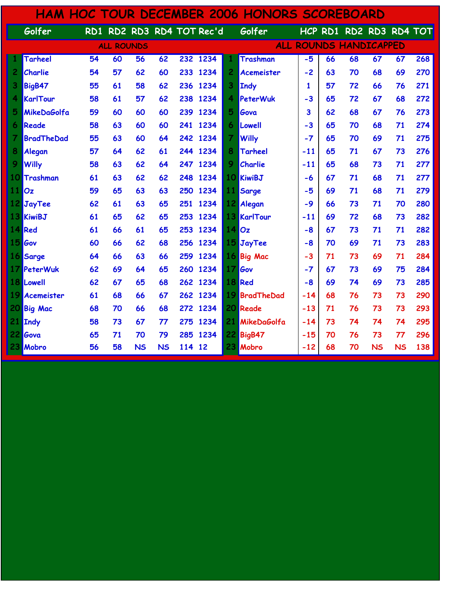| <b>HAM HOC TOUR DECEMBER 2006 HONORS SCOREBOARD</b> |                   |                 |                   |                 |           |     |                           |                |                    |       |    |                               |           |           |     |  |
|-----------------------------------------------------|-------------------|-----------------|-------------------|-----------------|-----------|-----|---------------------------|----------------|--------------------|-------|----|-------------------------------|-----------|-----------|-----|--|
|                                                     | Golfer            |                 |                   |                 |           |     | RD1 RD2 RD3 RD4 TOT Rec'd |                | Golfer             |       |    | HCP RD1 RD2 RD3 RD4 TOT       |           |           |     |  |
|                                                     |                   |                 | <b>ALL ROUNDS</b> |                 |           |     |                           |                |                    |       |    | <b>ALL ROUNDS HANDICAPPED</b> |           |           |     |  |
|                                                     | <b>Tarheel</b>    | $\overline{54}$ | 60                | $\overline{56}$ | 62        |     | 232 1234                  |                | <b>Trashman</b>    | $-5$  | 66 | 68                            | 67        | 67        | 268 |  |
| $\overline{c}$                                      | Charlie           | 54              | 57                | 62              | 60        | 233 | 1234                      | 2              | <b>Acemeister</b>  | $-2$  | 63 | 70                            | 68        | 69        | 270 |  |
| 3                                                   | <b>BigB47</b>     | 55              | 61                | 58              | 62        |     | 236 1234                  | 3              | <b>Indy</b>        | 1     | 57 | 72                            | 66        | 76        | 271 |  |
| 4                                                   | KarlTour          | 58              | 61                | 57              | 62        | 238 | 1234                      | 4              | PeterWuk           | $-3$  | 65 | 72                            | 67        | 68        | 272 |  |
| 5                                                   | MikeDaGolfa       | 59              | 60                | 60              | 60        | 239 | 1234                      | 5              | Gova               | 3     | 62 | 68                            | 67        | 76        | 273 |  |
| 6                                                   | Reade             | 58              | 63                | 60              | 60        | 241 | 1234                      | 6              | Lowell             | $-3$  | 65 | 70                            | 68        | 71        | 274 |  |
| 7                                                   | <b>BradTheDad</b> | 55              | 63                | 60              | 64        | 242 | 1234                      | $\overline{I}$ | <b>Willy</b>       | $-7$  | 65 | 70                            | 69        | 71        | 275 |  |
| 8                                                   | Alegan            | 57              | 64                | 62              | 61        |     | 244 1234                  | 8              | <b>Tarheel</b>     | $-11$ | 65 | 71                            | 67        | 73        | 276 |  |
| 9                                                   | <b>Willy</b>      | 58              | 63                | 62              | 64        | 247 | 1234                      | 9              | Charlie            | $-11$ | 65 | 68                            | 73        | 71        | 277 |  |
| 10                                                  | Trashman          | 61              | 63                | 62              | 62        | 248 | 1234                      |                | 10 KiwiBJ          | $-6$  | 67 | 71                            | 68        | 71        | 277 |  |
| 11                                                  | Oz                | 59              | 65                | 63              | 63        | 250 | 1234                      | 11             | Sarge              | $-5$  | 69 | 71                            | 68        | 71        | 279 |  |
|                                                     | 12 JayTee         | 62              | 61                | 63              | 65        |     | 251 1234                  |                | 12 Alegan          | $-9$  | 66 | 73                            | 71        | 70        | 280 |  |
|                                                     | 13 KiwiBJ         | 61              | 65                | 62              | 65        | 253 | 1234                      |                | <b>13 KarlTour</b> | $-11$ | 69 | 72                            | 68        | 73        | 282 |  |
|                                                     | 14 Red            | 61              | 66                | 61              | 65        | 253 | 1234                      |                | 140z               | $-8$  | 67 | 73                            | 71        | 71        | 282 |  |
| 15                                                  | Gov               | 60              | 66                | 62              | 68        | 256 | 1234                      | 15             | JayTee             | $-8$  | 70 | 69                            | 71        | 73        | 283 |  |
|                                                     | 16 Sarge          | 64              | 66                | 63              | 66        | 259 | 1234                      |                | 16 Big Mac         | $-3$  | 71 | 73                            | 69        | 71        | 284 |  |
|                                                     | 17 PeterWuk       | 62              | 69                | 64              | 65        |     | 260 1234                  | 17             | Gov                | $-7$  | 67 | 73                            | 69        | 75        | 284 |  |
|                                                     | <b>18 Lowell</b>  | 62              | 67                | 65              | 68        |     | 262 1234                  |                | 18 Red             | -8    | 69 | 74                            | 69        | 73        | 285 |  |
| 19                                                  | Acemeister        | 61              | 68                | 66              | 67        | 262 | 1234                      |                | 19 BradTheDad      | $-14$ | 68 | 76                            | 73        | 73        | 290 |  |
| 20 <sub>l</sub>                                     | <b>Big Mac</b>    | 68              | 70                | 66              | 68        | 272 | 1234                      |                | 20 Reade           | $-13$ | 71 | 76                            | 73        | 73        | 293 |  |
|                                                     | 21 Indy           | 58              | 73                | 67              | 77        | 275 | 1234                      |                | 21 MikeDaGolfa     | $-14$ | 73 | 74                            | 74        | 74        | 295 |  |
|                                                     | 22 Gova           | 65              | 71                | 70              | 79        | 285 | 1234                      |                | <b>22 BigB47</b>   | $-15$ | 70 | 76                            | 73        | 77        | 296 |  |
|                                                     | 23 Mobro          | 56              | 58                | <b>NS</b>       | <b>NS</b> | 114 | 12                        | 23             | Mobro              | $-12$ | 68 | 70                            | <b>NS</b> | <b>NS</b> | 138 |  |